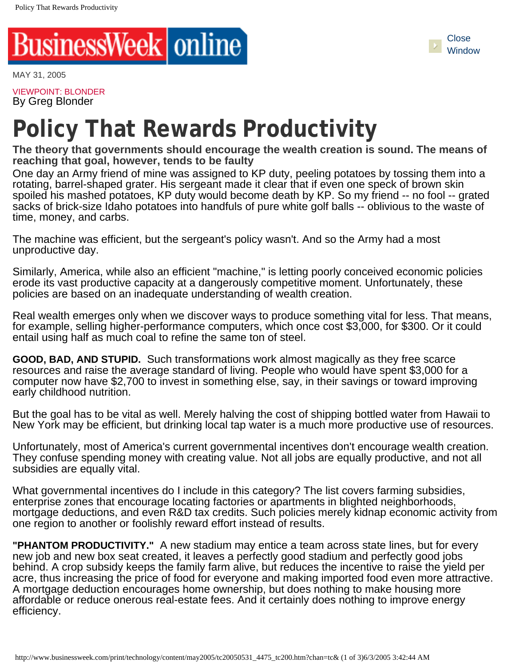

MAY 31, 2005

VIEWPOINT: BLONDER By Greg Blonder

## **Policy That Rewards Productivity**

**The theory that governments should encourage the wealth creation is sound. The means of reaching that goal, however, tends to be faulty**

One day an Army friend of mine was assigned to KP duty, peeling potatoes by tossing them into a rotating, barrel-shaped grater. His sergeant made it clear that if even one speck of brown skin spoiled his mashed potatoes, KP duty would become death by KP. So my friend -- no fool -- grated sacks of brick-size Idaho potatoes into handfuls of pure white golf balls -- oblivious to the waste of time, money, and carbs.

The machine was efficient, but the sergeant's policy wasn't. And so the Army had a most unproductive day.

Similarly, America, while also an efficient "machine," is letting poorly conceived economic policies erode its vast productive capacity at a dangerously competitive moment. Unfortunately, these policies are based on an inadequate understanding of wealth creation.

Real wealth emerges only when we discover ways to produce something vital for less. That means, for example, selling higher-performance computers, which once cost \$3,000, for \$300. Or it could entail using half as much coal to refine the same ton of steel.

**GOOD, BAD, AND STUPID.** Such transformations work almost magically as they free scarce resources and raise the average standard of living. People who would have spent \$3,000 for a computer now have \$2,700 to invest in something else, say, in their savings or toward improving early childhood nutrition.

But the goal has to be vital as well. Merely halving the cost of shipping bottled water from Hawaii to New York may be efficient, but drinking local tap water is a much more productive use of resources.

Unfortunately, most of America's current governmental incentives don't encourage wealth creation. They confuse spending money with creating value. Not all jobs are equally productive, and not all subsidies are equally vital.

What governmental incentives do I include in this category? The list covers farming subsidies, enterprise zones that encourage locating factories or apartments in blighted neighborhoods, mortgage deductions, and even R&D tax credits. Such policies merely kidnap economic activity from one region to another or foolishly reward effort instead of results.

**"PHANTOM PRODUCTIVITY."** A new stadium may entice a team across state lines, but for every new job and new box seat created, it leaves a perfectly good stadium and perfectly good jobs behind. A crop subsidy keeps the family farm alive, but reduces the incentive to raise the yield per acre, thus increasing the price of food for everyone and making imported food even more attractive. A mortgage deduction encourages home ownership, but does nothing to make housing more affordable or reduce onerous real-estate fees. And it certainly does nothing to improve energy efficiency.

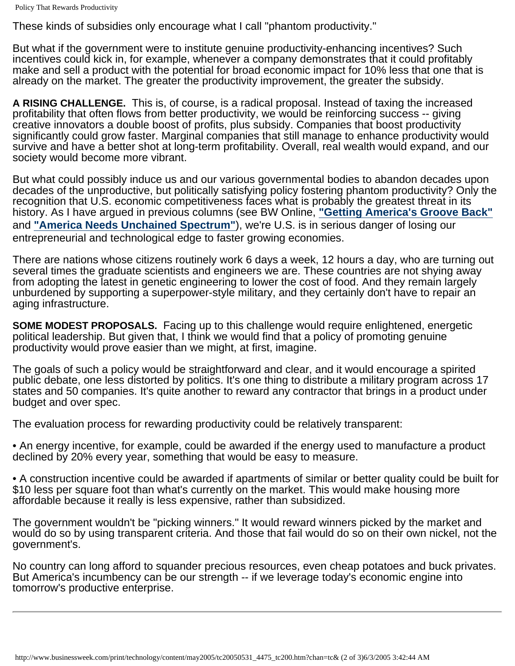These kinds of subsidies only encourage what I call "phantom productivity."

But what if the government were to institute genuine productivity-enhancing incentives? Such incentives could kick in, for example, whenever a company demonstrates that it could profitably make and sell a product with the potential for broad economic impact for 10% less that one that is already on the market. The greater the productivity improvement, the greater the subsidy.

**A RISING CHALLENGE.** This is, of course, is a radical proposal. Instead of taxing the increased profitability that often flows from better productivity, we would be reinforcing success -- giving creative innovators a double boost of profits, plus subsidy. Companies that boost productivity significantly could grow faster. Marginal companies that still manage to enhance productivity would survive and have a better shot at long-term profitability. Overall, real wealth would expand, and our society would become more vibrant.

But what could possibly induce us and our various governmental bodies to abandon decades upon decades of the unproductive, but politically satisfying policy fostering phantom productivity? Only the recognition that U.S. economic competitiveness faces what is probably the greatest threat in its history. As I have argued in previous columns (see BW Online, **"Getting America's Groove Back"** and **"America Needs Unchained Spectrum"**), we're U.S. is in serious danger of losing our entrepreneurial and technological edge to faster growing economies.

There are nations whose citizens routinely work 6 days a week, 12 hours a day, who are turning out several times the graduate scientists and engineers we are. These countries are not shying away from adopting the latest in genetic engineering to lower the cost of food. And they remain largely unburdened by supporting a superpower-style military, and they certainly don't have to repair an aging infrastructure.

**SOME MODEST PROPOSALS.** Facing up to this challenge would require enlightened, energetic political leadership. But given that, I think we would find that a policy of promoting genuine productivity would prove easier than we might, at first, imagine.

The goals of such a policy would be straightforward and clear, and it would encourage a spirited public debate, one less distorted by politics. It's one thing to distribute a military program across 17 states and 50 companies. It's quite another to reward any contractor that brings in a product under budget and over spec.

The evaluation process for rewarding productivity could be relatively transparent:

• An energy incentive, for example, could be awarded if the energy used to manufacture a product declined by 20% every year, something that would be easy to measure.

• A construction incentive could be awarded if apartments of similar or better quality could be built for \$10 less per square foot than what's currently on the market. This would make housing more affordable because it really is less expensive, rather than subsidized.

The government wouldn't be "picking winners." It would reward winners picked by the market and would do so by using transparent criteria. And those that fail would do so on their own nickel, not the government's.

No country can long afford to squander precious resources, even cheap potatoes and buck privates. But America's incumbency can be our strength -- if we leverage today's economic engine into tomorrow's productive enterprise.